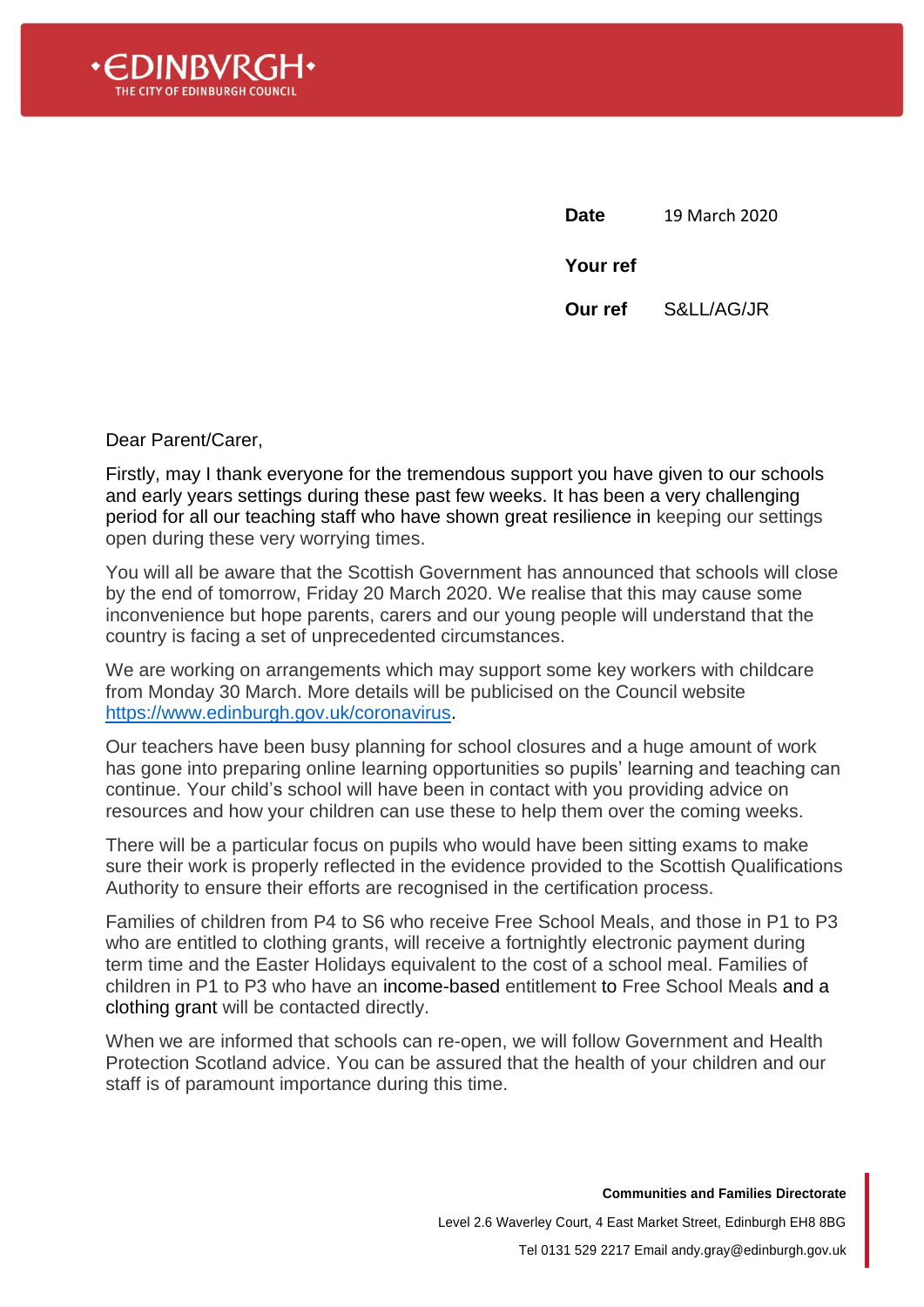

**Date** 19 March 2020 **Your ref Our ref** S&LL/AG/JR

Dear Parent/Carer,

Firstly, may I thank everyone for the tremendous support you have given to our schools and early years settings during these past few weeks. It has been a very challenging period for all our teaching staff who have shown great resilience in keeping our settings open during these very worrying times.

You will all be aware that the Scottish Government has announced that schools will close by the end of tomorrow, Friday 20 March 2020. We realise that this may cause some inconvenience but hope parents, carers and our young people will understand that the country is facing a set of unprecedented circumstances.

We are working on arrangements which may support some key workers with childcare from Monday 30 March. More details will be publicised on the Council website [https://www.edinburgh.gov.uk/coronavirus.](https://www.edinburgh.gov.uk/coronavirus)

Our teachers have been busy planning for school closures and a huge amount of work has gone into preparing online learning opportunities so pupils' learning and teaching can continue. Your child's school will have been in contact with you providing advice on resources and how your children can use these to help them over the coming weeks.

There will be a particular focus on pupils who would have been sitting exams to make sure their work is properly reflected in the evidence provided to the Scottish Qualifications Authority to ensure their efforts are recognised in the certification process.

Families of children from P4 to S6 who receive Free School Meals, and those in P1 to P3 who are entitled to clothing grants, will receive a fortnightly electronic payment during term time and the Easter Holidays equivalent to the cost of a school meal. Families of children in P1 to P3 who have an income-based entitlement to Free School Meals and a clothing grant will be contacted directly.

When we are informed that schools can re-open, we will follow Government and Health Protection Scotland advice. You can be assured that the health of your children and our staff is of paramount importance during this time.